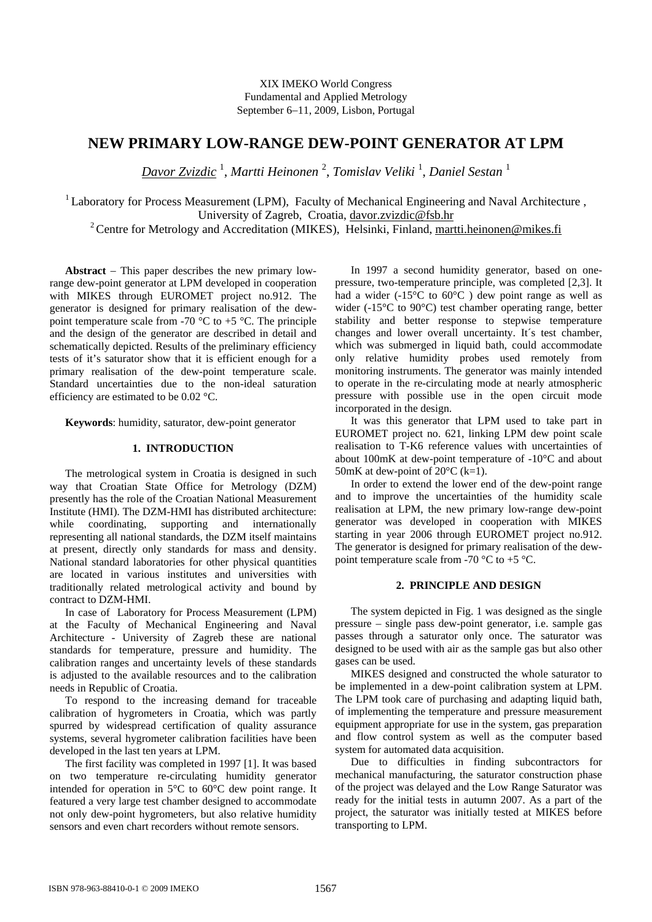# **NEW PRIMARY LOW-RANGE DEW-POINT GENERATOR AT LPM**

*Davor Zvizdic* <sup>1</sup> , *Martti Heinonen* <sup>2</sup> , *Tomislav Veliki* <sup>1</sup> , *Daniel Sestan* <sup>1</sup>

<sup>1</sup> Laboratory for Process Measurement (LPM), Faculty of Mechanical Engineering and Naval Architecture, University of Zagreb, Croatia, davor.zvizdic@fsb.hr

<sup>2</sup> Centre for Metrology and Accreditation (MIKES), Helsinki, Finland, martti.heinonen@mikes.fi

**Abstract** − This paper describes the new primary lowrange dew-point generator at LPM developed in cooperation with MIKES through EUROMET project no.912. The generator is designed for primary realisation of the dewpoint temperature scale from -70  $\degree$ C to +5  $\degree$ C. The principle and the design of the generator are described in detail and schematically depicted. Results of the preliminary efficiency tests of it's saturator show that it is efficient enough for a primary realisation of the dew-point temperature scale. Standard uncertainties due to the non-ideal saturation efficiency are estimated to be 0.02 °C.

**Keywords**: humidity, saturator, dew-point generator

#### **1. INTRODUCTION**

The metrological system in Croatia is designed in such way that Croatian State Office for Metrology (DZM) presently has the role of the Croatian National Measurement Institute (HMI). The DZM-HMI has distributed architecture: while coordinating, supporting and internationally representing all national standards, the DZM itself maintains at present, directly only standards for mass and density. National standard laboratories for other physical quantities are located in various institutes and universities with traditionally related metrological activity and bound by contract to DZM-HMI.

In case of Laboratory for Process Measurement (LPM) at the Faculty of Mechanical Engineering and Naval Architecture - University of Zagreb these are national standards for temperature, pressure and humidity. The calibration ranges and uncertainty levels of these standards is adjusted to the available resources and to the calibration needs in Republic of Croatia.

To respond to the increasing demand for traceable calibration of hygrometers in Croatia, which was partly spurred by widespread certification of quality assurance systems, several hygrometer calibration facilities have been developed in the last ten years at LPM.

The first facility was completed in 1997 [1]. It was based on two temperature re-circulating humidity generator intended for operation in 5°C to 60°C dew point range. It featured a very large test chamber designed to accommodate not only dew-point hygrometers, but also relative humidity sensors and even chart recorders without remote sensors.

In 1997 a second humidity generator, based on onepressure, two-temperature principle, was completed [2,3]. It had a wider  $(-15^{\circ}C)$  to  $60^{\circ}C$  ) dew point range as well as wider (-15°C to 90°C) test chamber operating range, better stability and better response to stepwise temperature changes and lower overall uncertainty. It´s test chamber, which was submerged in liquid bath, could accommodate only relative humidity probes used remotely from monitoring instruments. The generator was mainly intended to operate in the re-circulating mode at nearly atmospheric pressure with possible use in the open circuit mode incorporated in the design.

It was this generator that LPM used to take part in EUROMET project no. 621, linking LPM dew point scale realisation to T-K6 reference values with uncertainties of about 100mK at dew-point temperature of -10°C and about 50mK at dew-point of 20°C (k=1).

In order to extend the lower end of the dew-point range and to improve the uncertainties of the humidity scale realisation at LPM, the new primary low-range dew-point generator was developed in cooperation with MIKES starting in year 2006 through EUROMET project no.912. The generator is designed for primary realisation of the dewpoint temperature scale from -70  $\mathrm{^{\circ}C}$  to +5  $\mathrm{^{\circ}C}$ .

## **2. PRINCIPLE AND DESIGN**

The system depicted in Fig. 1 was designed as the single pressure – single pass dew-point generator, i.e. sample gas passes through a saturator only once. The saturator was designed to be used with air as the sample gas but also other gases can be used.

MIKES designed and constructed the whole saturator to be implemented in a dew-point calibration system at LPM. The LPM took care of purchasing and adapting liquid bath, of implementing the temperature and pressure measurement equipment appropriate for use in the system, gas preparation and flow control system as well as the computer based system for automated data acquisition.

Due to difficulties in finding subcontractors for mechanical manufacturing, the saturator construction phase of the project was delayed and the Low Range Saturator was ready for the initial tests in autumn 2007. As a part of the project, the saturator was initially tested at MIKES before transporting to LPM.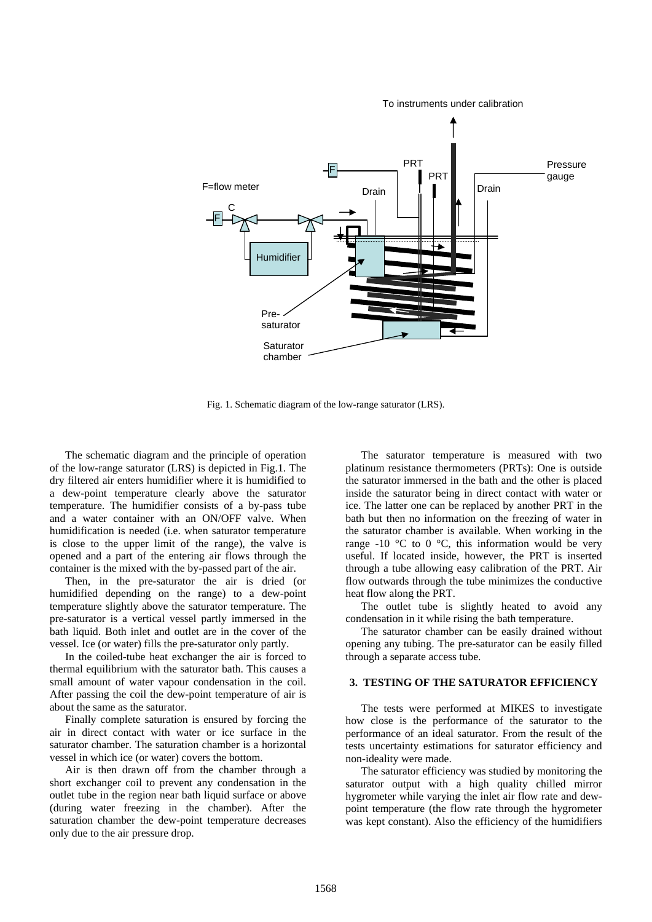

Fig. 1. Schematic diagram of the low-range saturator (LRS).

The schematic diagram and the principle of operation of the low-range saturator (LRS) is depicted in Fig.1. The dry filtered air enters humidifier where it is humidified to a dew-point temperature clearly above the saturator temperature. The humidifier consists of a by-pass tube and a water container with an ON/OFF valve. When humidification is needed (i.e. when saturator temperature is close to the upper limit of the range), the valve is opened and a part of the entering air flows through the container is the mixed with the by-passed part of the air.

Then, in the pre-saturator the air is dried (or humidified depending on the range) to a dew-point temperature slightly above the saturator temperature. The pre-saturator is a vertical vessel partly immersed in the bath liquid. Both inlet and outlet are in the cover of the vessel. Ice (or water) fills the pre-saturator only partly.

In the coiled-tube heat exchanger the air is forced to thermal equilibrium with the saturator bath. This causes a small amount of water vapour condensation in the coil. After passing the coil the dew-point temperature of air is about the same as the saturator.

Finally complete saturation is ensured by forcing the air in direct contact with water or ice surface in the saturator chamber. The saturation chamber is a horizontal vessel in which ice (or water) covers the bottom.

Air is then drawn off from the chamber through a short exchanger coil to prevent any condensation in the outlet tube in the region near bath liquid surface or above (during water freezing in the chamber). After the saturation chamber the dew-point temperature decreases only due to the air pressure drop.

The saturator temperature is measured with two platinum resistance thermometers (PRTs): One is outside the saturator immersed in the bath and the other is placed inside the saturator being in direct contact with water or ice. The latter one can be replaced by another PRT in the bath but then no information on the freezing of water in the saturator chamber is available. When working in the range -10  $\degree$ C to 0  $\degree$ C, this information would be very useful. If located inside, however, the PRT is inserted through a tube allowing easy calibration of the PRT. Air flow outwards through the tube minimizes the conductive heat flow along the PRT.

The outlet tube is slightly heated to avoid any condensation in it while rising the bath temperature.

The saturator chamber can be easily drained without opening any tubing. The pre-saturator can be easily filled through a separate access tube.

## **3. TESTING OF THE SATURATOR EFFICIENCY**

The tests were performed at MIKES to investigate how close is the performance of the saturator to the performance of an ideal saturator. From the result of the tests uncertainty estimations for saturator efficiency and non-ideality were made.

The saturator efficiency was studied by monitoring the saturator output with a high quality chilled mirror hygrometer while varying the inlet air flow rate and dewpoint temperature (the flow rate through the hygrometer was kept constant). Also the efficiency of the humidifiers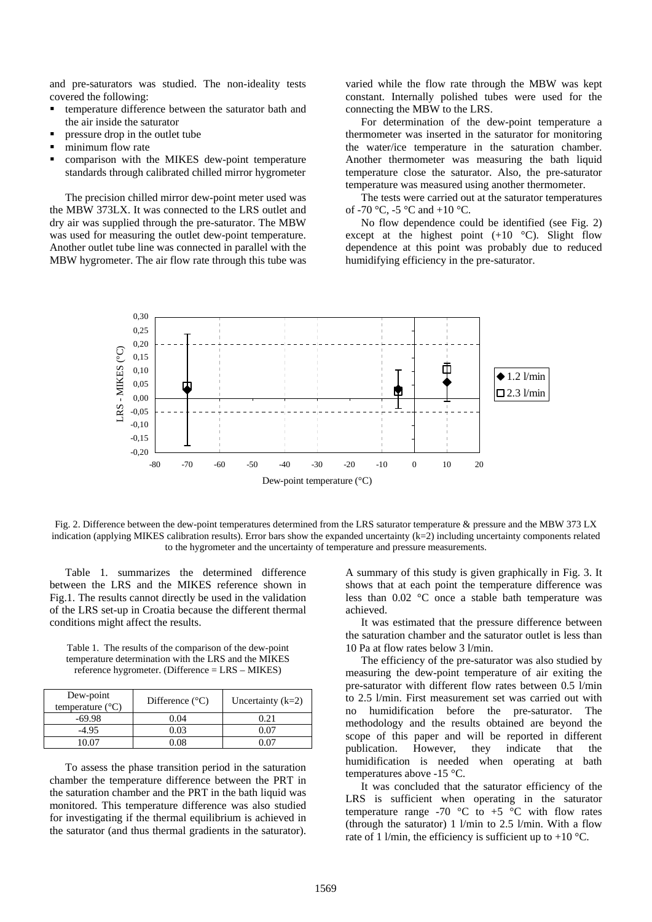and pre-saturators was studied. The non-ideality tests covered the following:

- temperature difference between the saturator bath and the air inside the saturator
- pressure drop in the outlet tube
- minimum flow rate
- comparison with the MIKES dew-point temperature standards through calibrated chilled mirror hygrometer

The precision chilled mirror dew-point meter used was the MBW 373LX. It was connected to the LRS outlet and dry air was supplied through the pre-saturator. The MBW was used for measuring the outlet dew-point temperature. Another outlet tube line was connected in parallel with the MBW hygrometer. The air flow rate through this tube was varied while the flow rate through the MBW was kept constant. Internally polished tubes were used for the connecting the MBW to the LRS.

For determination of the dew-point temperature a thermometer was inserted in the saturator for monitoring the water/ice temperature in the saturation chamber. Another thermometer was measuring the bath liquid temperature close the saturator. Also, the pre-saturator temperature was measured using another thermometer.

The tests were carried out at the saturator temperatures of -70 °C, -5 °C and +10 °C.

No flow dependence could be identified (see Fig. 2) except at the highest point  $(+10\degree\text{C})$ . Slight flow dependence at this point was probably due to reduced humidifying efficiency in the pre-saturator.



Fig. 2. Difference between the dew-point temperatures determined from the LRS saturator temperature & pressure and the MBW 373 LX indication (applying MIKES calibration results). Error bars show the expanded uncertainty (k=2) including uncertainty components related to the hygrometer and the uncertainty of temperature and pressure measurements.

Table 1. summarizes the determined difference between the LRS and the MIKES reference shown in Fig.1. The results cannot directly be used in the validation of the LRS set-up in Croatia because the different thermal conditions might affect the results.

Table 1. The results of the comparison of the dew-point temperature determination with the LRS and the MIKES reference hygrometer. (Difference = LRS – MIKES)

| Dew-point<br>temperature $(^{\circ}C)$ | Difference $(^{\circ}C)$ | Uncertainty $(k=2)$ |
|----------------------------------------|--------------------------|---------------------|
| $-69.98$                               | 0.04                     | 0.21                |
| $-4.95$                                | 0.03                     | 0 07                |
| IN 07                                  | 0.08                     | ገ በ7                |

To assess the phase transition period in the saturation chamber the temperature difference between the PRT in the saturation chamber and the PRT in the bath liquid was monitored. This temperature difference was also studied for investigating if the thermal equilibrium is achieved in the saturator (and thus thermal gradients in the saturator).

A summary of this study is given graphically in Fig. 3. It shows that at each point the temperature difference was less than 0.02 °C once a stable bath temperature was achieved.

It was estimated that the pressure difference between the saturation chamber and the saturator outlet is less than 10 Pa at flow rates below 3 l/min.

The efficiency of the pre-saturator was also studied by measuring the dew-point temperature of air exiting the pre-saturator with different flow rates between 0.5 l/min to 2.5 l/min. First measurement set was carried out with no humidification before the pre-saturator. The methodology and the results obtained are beyond the scope of this paper and will be reported in different publication. However, they indicate that the humidification is needed when operating at bath temperatures above -15 °C.

It was concluded that the saturator efficiency of the LRS is sufficient when operating in the saturator temperature range -70  $\degree$ C to +5  $\degree$ C with flow rates (through the saturator) 1 l/min to 2.5 l/min. With a flow rate of 1 l/min, the efficiency is sufficient up to +10  $^{\circ}$ C.